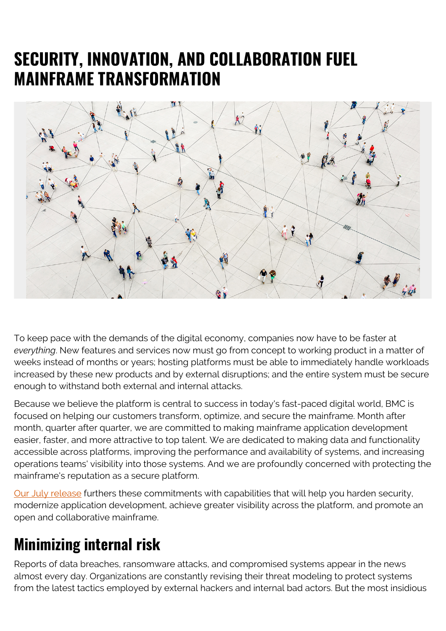## **SECURITY, INNOVATION, AND COLLABORATION FUEL MAINFRAME TRANSFORMATION**



To keep pace with the demands of the digital economy, companies now have to be faster at *everything*. New features and services now must go from concept to working product in a matter of weeks instead of months or years; hosting platforms must be able to immediately handle workloads increased by these new products and by external disruptions; and the entire system must be secure enough to withstand both external and internal attacks.

Because we believe the platform is central to success in today's fast-paced digital world, BMC is focused on helping our customers transform, optimize, and secure the mainframe. Month after month, quarter after quarter, we are committed to making mainframe application development easier, faster, and more attractive to top talent. We are dedicated to making data and functionality accessible across platforms, improving the performance and availability of systems, and increasing operations teams' visibility into those systems. And we are profoundly concerned with protecting the mainframe's reputation as a secure platform.

[Our July release](https://blogs.bmc.com/bmc-ami-innovations) furthers these commitments with capabilities that will help you harden security, modernize application development, achieve greater visibility across the platform, and promote an open and collaborative mainframe.

### **Minimizing internal risk**

Reports of data breaches, ransomware attacks, and compromised systems appear in the news almost every day. Organizations are constantly revising their threat modeling to protect systems from the latest tactics employed by external hackers and internal bad actors. But the most insidious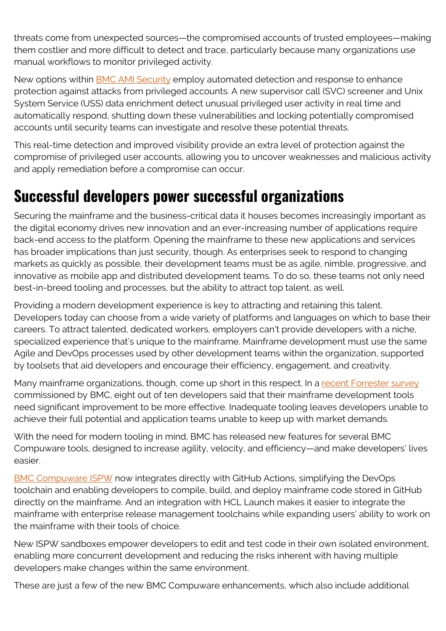threats come from unexpected sources—the compromised accounts of trusted employees—making them costlier and more difficult to detect and trace, particularly because many organizations use manual workflows to monitor privileged activity.

New options within [BMC AMI Security](https://blogs.bmc.com/it-solutions/bmc-ami-mainframe-security.html) employ automated detection and response to enhance protection against attacks from privileged accounts. A new supervisor call (SVC) screener and Unix System Service (USS) data enrichment detect unusual privileged user activity in real time and automatically respond, shutting down these vulnerabilities and locking potentially compromised accounts until security teams can investigate and resolve these potential threats.

This real-time detection and improved visibility provide an extra level of protection against the compromise of privileged user accounts, allowing you to uncover weaknesses and malicious activity and apply remediation before a compromise can occur.

### **Successful developers power successful organizations**

Securing the mainframe and the business-critical data it houses becomes increasingly important as the digital economy drives new innovation and an ever-increasing number of applications require back-end access to the platform. Opening the mainframe to these new applications and services has broader implications than just security, though. As enterprises seek to respond to changing markets as quickly as possible, their development teams must be as agile, nimble, progressive, and innovative as mobile app and distributed development teams. To do so, these teams not only need best-in-breed tooling and processes, but the ability to attract top talent, as well.

Providing a modern development experience is key to attracting and retaining this talent. Developers today can choose from a wide variety of platforms and languages on which to base their careers. To attract talented, dedicated workers, employers can't provide developers with a niche, specialized experience that's unique to the mainframe. Mainframe development must use the same Agile and DevOps processes used by other development teams within the organization, supported by toolsets that aid developers and encourage their efficiency, engagement, and creativity.

Many mainframe organizations, though, come up short in this respect. In a [recent Forrester survey](https://blogs.bmc.com/forms/modernize-mainframe-development-tool-analyst-report.html) commissioned by BMC, eight out of ten developers said that their mainframe development tools need significant improvement to be more effective. Inadequate tooling leaves developers unable to achieve their full potential and application teams unable to keep up with market demands.

With the need for modern tooling in mind, BMC has released new features for several BMC Compuware tools, designed to increase agility, velocity, and efficiency—and make developers' lives easier.

[BMC Compuware ISPW](https://blogs.bmc.com/it-solutions/bmc-compuware-ispw.html) now integrates directly with GitHub Actions, simplifying the DevOps toolchain and enabling developers to compile, build, and deploy mainframe code stored in GitHub directly on the mainframe. And an integration with HCL Launch makes it easier to integrate the mainframe with enterprise release management toolchains while expanding users' ability to work on the mainframe with their tools of choice.

New ISPW sandboxes empower developers to edit and test code in their own isolated environment, enabling more concurrent development and reducing the risks inherent with having multiple developers make changes within the same environment.

These are just a few of the new BMC Compuware enhancements, which also include additional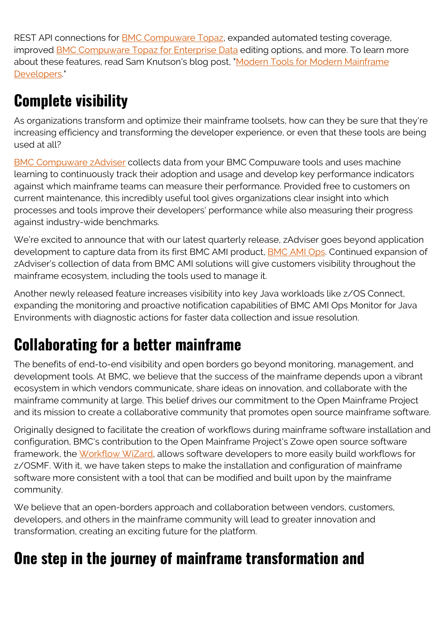REST API connections for **[BMC Compuware Topaz](https://blogs.bmc.com/it-solutions/bmc-compuware-topaz.html)**, expanded automated testing coverage, improved [BMC Compuware Topaz for Enterprise Data](https://blogs.bmc.com/it-solutions/bmc-compuware-topaz-for-enterprise-data.html) editing options, and more. To learn more about these features, read Sam Knutson's blog post, "[Modern Tools for Modern Mainframe](https://blogs.bmc.com/blogs/modern-tools-mainframe-developers) [Developers.](https://blogs.bmc.com/blogs/modern-tools-mainframe-developers)"

# **Complete visibility**

As organizations transform and optimize their mainframe toolsets, how can they be sure that they're increasing efficiency and transforming the developer experience, or even that these tools are being used at all?

[BMC Compuware zAdviser](https://blogs.bmc.com/it-solutions/bmc-compuware-zadviser.html) collects data from your BMC Compuware tools and uses machine learning to continuously track their adoption and usage and develop key performance indicators against which mainframe teams can measure their performance. Provided free to customers on current maintenance, this incredibly useful tool gives organizations clear insight into which processes and tools improve their developers' performance while also measuring their progress against industry-wide benchmarks.

We're excited to announce that with our latest quarterly release, zAdviser goes beyond application development to capture data from its first BMC AMI product, **BMC AMI Ops.** Continued expansion of zAdviser's collection of data from BMC AMI solutions will give customers visibility throughout the mainframe ecosystem, including the tools used to manage it.

Another newly released feature increases visibility into key Java workloads like z/OS Connect, expanding the monitoring and proactive notification capabilities of BMC AMI Ops Monitor for Java Environments with diagnostic actions for faster data collection and issue resolution.

## **Collaborating for a better mainframe**

The benefits of end-to-end visibility and open borders go beyond monitoring, management, and development tools. At BMC, we believe that the success of the mainframe depends upon a vibrant ecosystem in which vendors communicate, share ideas on innovation, and collaborate with the mainframe community at large. This belief drives our commitment to the Open Mainframe Project and its mission to create a collaborative community that promotes open source mainframe software.

Originally designed to facilitate the creation of workflows during mainframe software installation and configuration, BMC's contribution to the Open Mainframe Project's Zowe open source software framework, the [Workflow WiZard](https://blogs.bmc.com/blogs/open-mainframe-project-zowe-workflow-wizard), allows software developers to more easily build workflows for z/OSMF. With it, we have taken steps to make the installation and configuration of mainframe software more consistent with a tool that can be modified and built upon by the mainframe community.

We believe that an open-borders approach and collaboration between vendors, customers, developers, and others in the mainframe community will lead to greater innovation and transformation, creating an exciting future for the platform.

### **One step in the journey of mainframe transformation and**